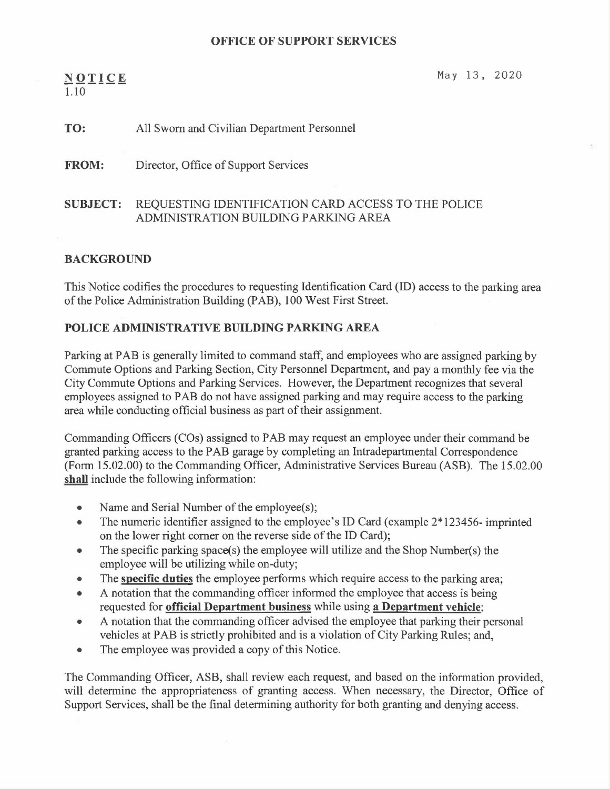#### OFFICE OF SUPPORT SERVICES

## $NQTICE$  May 13, 2020 1.10

# TO: All Sworn and Civilian Department Personnel

FROM: Director, Office of Support Services

### SUBJECT: REQUESTING IDENTIFICATION CARD ACCESS TO THE POLICE ADMINISTRATION BUILDING PARKING AREA

#### BACKGROUND

This Notice codifies the procedures to requesting Identification Card (ID) access to the parking area of the Police Administration Building (PAB), 100 West First Street.

### POLICE ADMINISTRATIVE BUILDING PARKING AREA

Parking at PAB is generally limited to command staff, and employees who are assigned parking by Commute Options and Parking Section, City Personnel Department, and pay a monthly fee via the City Commute Options and Parking Services. However, the Department recognizes that several employees assigned to PAB do not have assigned parking and may require access to the parking area while conducting official business as part of their assignment.

Commanding Officers (COs) assigned to PAB may request an employee under their command be granted parking access to the PAB garage by completing an Intradepartmental Correspondence (Form 15.02.00) to the Commanding Officer, Administrative Services Bureau (ASB). The 15.02.00 shall include the following information:

- Name and Serial Number of the employee(s);
- The numeric identifier assigned to the employee's ID Card (example  $2*123456$  imprinted on the lower right corner on the reverse side of the ID Card);
- The specific parking space(s) the employee will utilize and the Shop Number(s) the employee will be utilizing while on-duty;
- The specific duties the employee performs which require access to the parking area;
- A notation that the commanding officer informed the employee that access is being requested for official Department business while using a Department vehicle;
- A notation that the commanding officer advised the employee that parking their personal vehicles at PAB is strictly prohibited and is a violation of City Parking Rules; and,
- The employee was provided a copy of this Notice.

The Commanding Officer, ASB, shall review each request, and based on the information provided, will determine the appropriateness of granting access. When necessary, the Director, Office of Support Services, shall be the final determining authority for both granting and denying access.